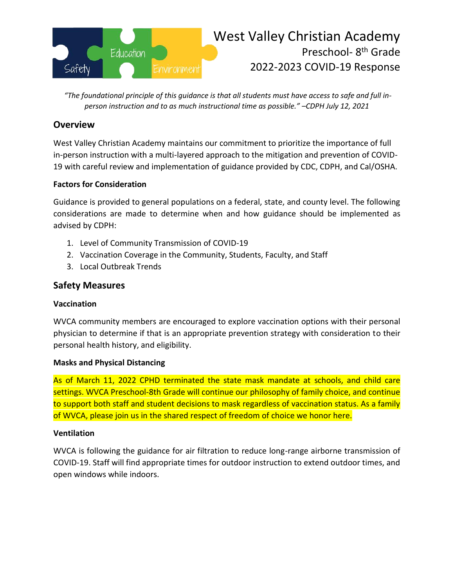

*"The foundational principle of this guidance is that all students must have access to safe and full inperson instruction and to as much instructional time as possible." –CDPH July 12, 2021*

## **Overview**

West Valley Christian Academy maintains our commitment to prioritize the importance of full in-person instruction with a multi-layered approach to the mitigation and prevention of COVID-19 with careful review and implementation of guidance provided by CDC, CDPH, and Cal/OSHA.

## **Factors for Consideration**

Guidance is provided to general populations on a federal, state, and county level. The following considerations are made to determine when and how guidance should be implemented as advised by CDPH:

- 1. Level of Community Transmission of COVID-19
- 2. Vaccination Coverage in the Community, Students, Faculty, and Staff
- 3. Local Outbreak Trends

# **Safety Measures**

## **Vaccination**

WVCA community members are encouraged to explore vaccination options with their personal physician to determine if that is an appropriate prevention strategy with consideration to their personal health history, and eligibility.

## **Masks and Physical Distancing**

As of March 11, 2022 CPHD terminated the state mask mandate at schools, and child care settings. WVCA Preschool-8th Grade will continue our philosophy of family choice, and continue to support both staff and student decisions to mask regardless of vaccination status. As a family of WVCA, please join us in the shared respect of freedom of choice we honor here.

## **Ventilation**

WVCA is following the guidance for air filtration to reduce long-range airborne transmission of COVID-19. Staff will find appropriate times for outdoor instruction to extend outdoor times, and open windows while indoors.